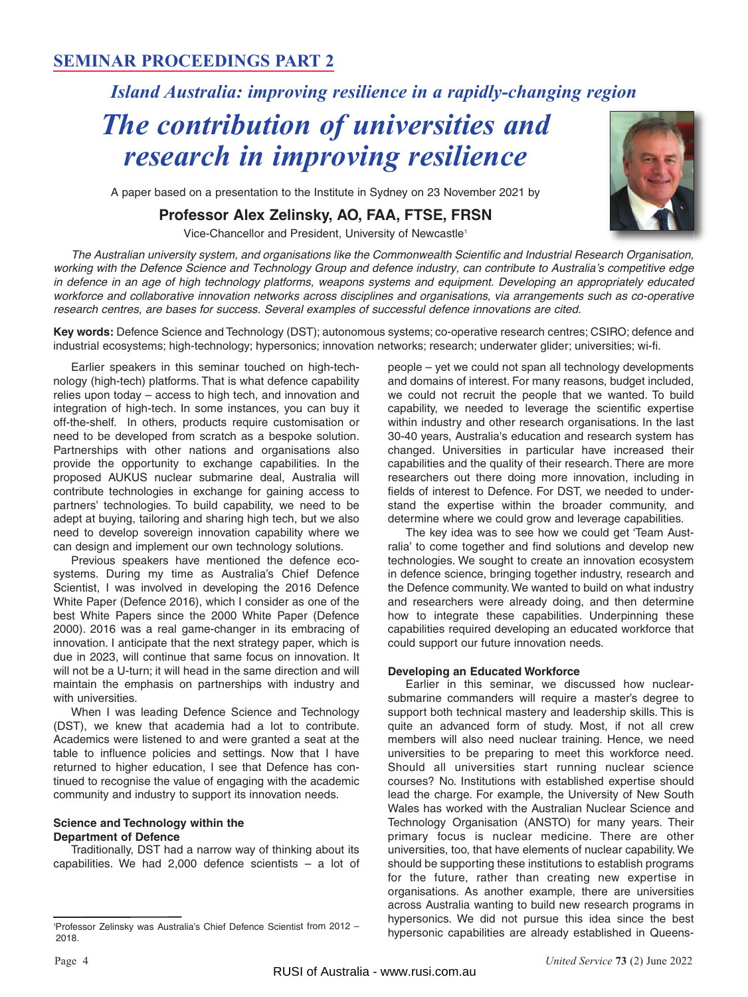## **SEMINAR PROCEEDINGS PART 2**

# *Island Australia: improving resilience in a rapidly-changing region*

# *The contribution of universities and research in improving resilience*

A paper based on a presentation to the Institute in Sydney on 23 November 2021 by

### **Professor Alex Zelinsky, AO, FAA, FTSE, FRSN**

Vice-Chancellor and President, University of Newcastle<sup>1</sup>

The Australian university system, and organisations like the Commonwealth Scientific and Industrial Research Organisation, working with the Defence Science and Technology Group and defence industry, can contribute to Australia's competitive edge in defence in an age of high technology platforms, weapons systems and equipment. Developing an appropriately educated workforce and collaborative innovation networks across disciplines and organisations, via arrangements such as co-operative research centres, are bases for success. Several examples of successful defence innovations are cited.

**Key words:** Defence Science and Technology (DST); autonomous systems; co-operative research centres; CSIRO; defence and industrial ecosystems; high-technology; hypersonics; innovation networks; research; underwater glider; universities; wi-fi.

Earlier speakers in this seminar touched on high-technology (high-tech) platforms. That is what defence capability relies upon today – access to high tech, and innovation and integration of high-tech. In some instances, you can buy it off-the-shelf. In others, products require customisation or need to be developed from scratch as a bespoke solution. Partnerships with other nations and organisations also provide the opportunity to exchange capabilities. In the proposed AUKUS nuclear submarine deal, Australia will contribute technologies in exchange for gaining access to partners' technologies. To build capability, we need to be adept at buying, tailoring and sharing high tech, but we also need to develop sovereign innovation capability where we can design and implement our own technology solutions.

Previous speakers have mentioned the defence ecosystems. During my time as Australia's Chief Defence Scientist, I was involved in developing the 2016 Defence White Paper (Defence 2016), which I consider as one of the best White Papers since the 2000 White Paper (Defence 2000). 2016 was a real game-changer in its embracing of innovation. I anticipate that the next strategy paper, which is due in 2023, will continue that same focus on innovation. It will not be a U-turn; it will head in the same direction and will maintain the emphasis on partnerships with industry and with universities.

When I was leading Defence Science and Technology (DST), we knew that academia had a lot to contribute. Academics were listened to and were granted a seat at the table to influence policies and settings. Now that I have returned to higher education, I see that Defence has continued to recognise the value of engaging with the academic community and industry to support its innovation needs.

#### **Science and Technology within the Department of Defence**

Traditionally, DST had a narrow way of thinking about its capabilities. We had  $2,000$  defence scientists  $-$  a lot of people – yet we could not span all technology developments and domains of interest. For many reasons, budget included, we could not recruit the people that we wanted. To build capa bility, we needed to leverage the scientific expertise within industry and other research organisations. In the last 30-40 years, Australia's education and research system has changed. Universities in particular have increased their capabilities and the quality of their research. There are more researchers out there doing more innovation, including in fields of interest to Defence. For DST, we needed to under stand the expertise within the broader community, and determine where we could grow and leverage capabilities.

The key idea was to see how we could get 'Team Australia' to come together and find solutions and develop new technologies. We sought to create an innovation ecosystem in defence science, bringing together industry, research and the Defence community. We wanted to build on what industry and researchers were already doing, and then determine how to integrate these capabilities. Underpinning these capabilities required developing an educated workforce that could support our future innovation needs.

#### **Developing an Educated Workforce**

Earlier in this seminar, we discussed how nuclearsubmarine commanders will require a master's degree to support both technical mastery and leadership skills. This is quite an advanced form of study. Most, if not all crew members will also need nuclear training. Hence, we need universities to be preparing to meet this workforce need. Should all universities start running nuclear science courses? No. Institutions with established expertise should lead the charge. For example, the University of New South Wales has worked with the Australian Nuclear Science and Technology Organisation (ANSTO) for many years. Their primary focus is nuclear medicine. There are other universities, too, that have elements of nuclear capability. We should be supporting these institutions to establish programs for the future, rather than creating new expertise in organisations. As another example, there are universities across Australia wanting to build new research programs in hypersonics. We did not pursue this idea since the best hypersonic capabilities are already established in Queens-

<sup>1</sup> Professor Zelinsky was Australia's Chief Defence Scientist from 2012 – 2018.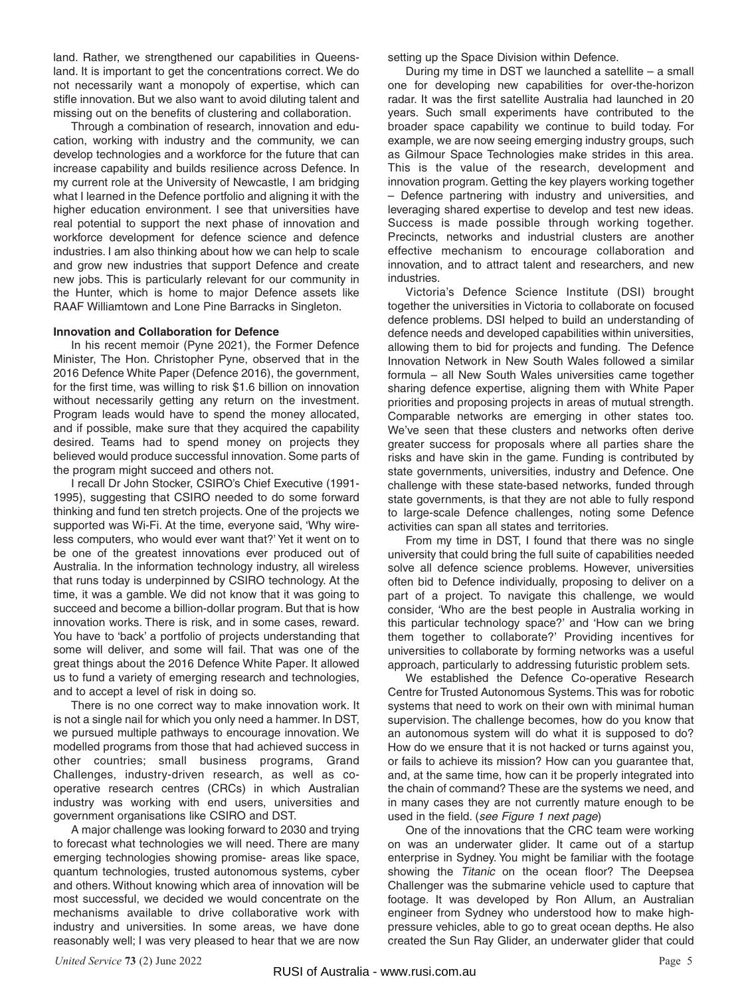land. Rather, we strengthened our capabilities in Queensland. It is important to get the concentrations correct. We do not necessarily want a monopoly of expertise, which can stifle innovation. But we also want to avoid diluting talent and missing out on the benefits of clustering and collaboration.

Through a combination of research, innovation and education, working with industry and the community, we can develop technologies and a workforce for the future that can increase capability and builds resilience across Defence. In my current role at the University of Newcastle, I am bridging what I learned in the Defence portfolio and aligning it with the higher education environment. I see that universities have real potential to support the next phase of innovation and workforce development for defence science and defence industries. I am also thinking about how we can help to scale and grow new industries that support Defence and create new jobs. This is particularly relevant for our community in the Hunter, which is home to major Defence assets like RAAF Williamtown and Lone Pine Barracks in Singleton.

#### **Innovation and Collaboration for Defence**

In his recent memoir (Pyne 2021), the Former Defence Minister, The Hon. Christopher Pyne, observed that in the 2016 Defence White Paper (Defence 2016), the government, for the first time, was willing to risk \$1.6 billion on innovation without necessarily getting any return on the investment. Program leads would have to spend the money allocated, and if possible, make sure that they acquired the capability desired. Teams had to spend money on projects they believed would produce successful innovation. Some parts of the program might succeed and others not.

I recall Dr John Stocker, CSIRO's Chief Executive (1991- 1995), suggesting that CSIRO needed to do some forward thinking and fund ten stretch projects. One of the projects we supported was Wi-Fi. At the time, everyone said, 'Why wireless computers, who would ever want that?' Yet it went on to be one of the greatest innovations ever produced out of Australia. In the information technology industry, all wireless that runs today is underpinned by CSIRO technology. At the time, it was a gamble. We did not know that it was going to succeed and become a billion-dollar program. But that is how innovation works. There is risk, and in some cases, reward. You have to 'back' a portfolio of projects understanding that some will deliver, and some will fail. That was one of the great things about the 2016 Defence White Paper. It allowed us to fund a variety of emerging research and technologies, and to accept a level of risk in doing so.

There is no one correct way to make innovation work. It is not a single nail for which you only need a hammer. In DST, we pursued multiple pathways to encourage innovation. We modelled programs from those that had achieved success in other countries; small business programs, Grand Challenges, industry-driven research, as well as cooperative research centres (CRCs) in which Australian industry was working with end users, universities and government organisations like CSIRO and DST.

A major challenge was looking forward to 2030 and trying to forecast what technologies we will need. There are many emerging technologies showing promise- areas like space, quantum technologies, trusted autonomous systems, cyber and others. Without knowing which area of innovation will be most successful, we decided we would concentrate on the mechanisms available to drive collaborative work with industry and universities. In some areas, we have done reasonably well; I was very pleased to hear that we are now

setting up the Space Division within Defence.

During my time in DST we launched a satellite – a small one for developing new capabilities for over-the-horizon radar. It was the first satellite Australia had launched in 20 years. Such small experiments have contributed to the broader space capability we continue to build today. For example, we are now seeing emerging industry groups, such as Gilmour Space Technologies make strides in this area. This is the value of the research, development and innovation program. Getting the key players working together – Defence partnering with industry and universities, and leveraging shared expertise to develop and test new ideas. Success is made possible through working together. Precincts, networks and industrial clusters are another effective mechanism to encourage collaboration and innovation, and to attract talent and researchers, and new industries.

Victoria's Defence Science Institute (DSI) brought together the universities in Victoria to collaborate on focused defence problems. DSI helped to build an understanding of defence needs and developed capabilities within universities, allowing them to bid for projects and funding. The Defence Innovation Network in New South Wales followed a similar formula – all New South Wales universities came together sharing defence expertise, aligning them with White Paper priorities and proposing projects in areas of mutual strength. Comparable networks are emerging in other states too. We've seen that these clusters and networks often derive greater success for proposals where all parties share the risks and have skin in the game. Funding is contributed by state governments, universities, industry and Defence. One challenge with these state-based networks, funded through state governments, is that they are not able to fully respond to large-scale Defence challenges, noting some Defence activities can span all states and territories.

From my time in DST, I found that there was no single university that could bring the full suite of capabilities needed solve all defence science problems. However, universities often bid to Defence individually, proposing to deliver on a part of a project. To navigate this challenge, we would consider, 'Who are the best people in Australia working in this particular technology space?' and 'How can we bring them together to collaborate?' Providing incentives for universities to collaborate by forming networks was a useful approach, particularly to addressing futuristic problem sets.

We established the Defence Co-operative Research Centre for Trusted Autonomous Systems. This was for robotic systems that need to work on their own with minimal human supervision. The challenge becomes, how do you know that an autonomous system will do what it is supposed to do? How do we ensure that it is not hacked or turns against you, or fails to achieve its mission? How can you guarantee that, and, at the same time, how can it be properly integrated into the chain of command? These are the systems we need, and in many cases they are not currently mature enough to be used in the field. (see Figure 1 next page)

One of the innovations that the CRC team were working on was an underwater glider. It came out of a startup enterprise in Sydney. You might be familiar with the footage showing the Titanic on the ocean floor? The Deepsea Challenger was the submarine vehicle used to capture that footage. It was developed by Ron Allum, an Australian engineer from Sydney who understood how to make highpressure vehicles, able to go to great ocean depths. He also created the Sun Ray Glider, an underwater glider that could